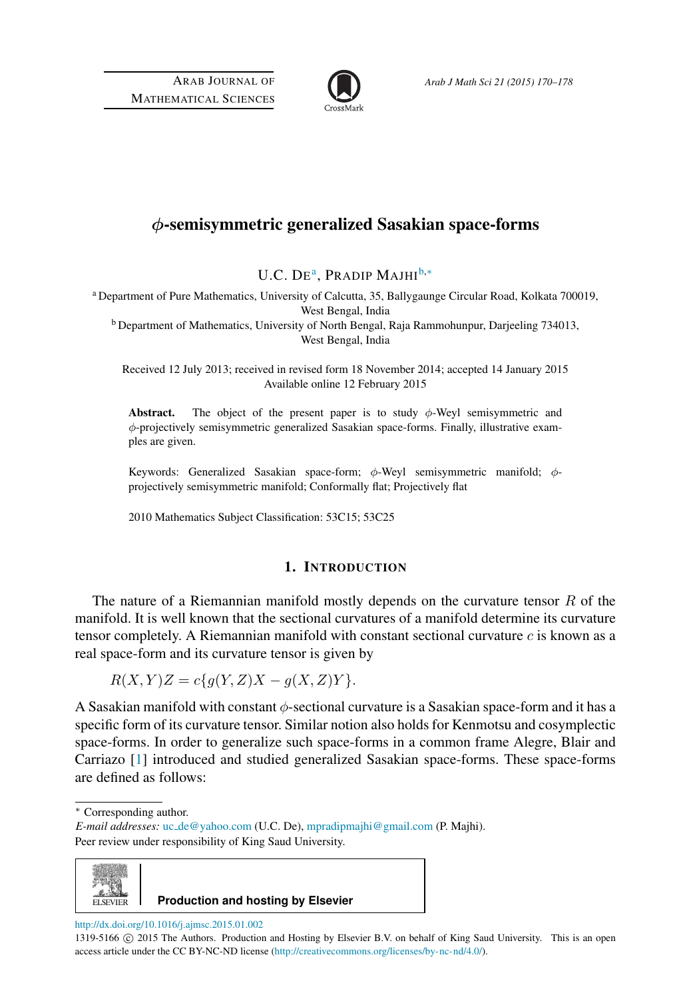

# φ-semisymmetric generalized Sasakian space-forms

U.C. DE<sup>[a](#page-0-0)</sup>, Pradip Majhi<sup>[b,](#page-0-1)\*</sup>

<span id="page-0-0"></span><sup>a</sup> Department of Pure Mathematics, University of Calcutta, 35, Ballygaunge Circular Road, Kolkata 700019, West Bengal, India

<span id="page-0-1"></span>b Department of Mathematics, University of North Bengal, Raja Rammohunpur, Darjeeling 734013, West Bengal, India

Received 12 July 2013; received in revised form 18 November 2014; accepted 14 January 2015 Available online 12 February 2015

Abstract. The object of the present paper is to study  $\phi$ -Weyl semisymmetric and φ-projectively semisymmetric generalized Sasakian space-forms. Finally, illustrative examples are given.

Keywords: Generalized Sasakian space-form; φ-Weyl semisymmetric manifold; φprojectively semisymmetric manifold; Conformally flat; Projectively flat

2010 Mathematics Subject Classification: 53C15; 53C25

## 1. INTRODUCTION

The nature of a Riemannian manifold mostly depends on the curvature tensor  $R$  of the manifold. It is well known that the sectional curvatures of a manifold determine its curvature tensor completely. A Riemannian manifold with constant sectional curvature  $c$  is known as a real space-form and its curvature tensor is given by

$$
R(X,Y)Z = c\{g(Y,Z)X - g(X,Z)Y\}.
$$

A Sasakian manifold with constant  $\phi$ -sectional curvature is a Sasakian space-form and it has a specific form of its curvature tensor. Similar notion also holds for Kenmotsu and cosymplectic space-forms. In order to generalize such space-forms in a common frame Alegre, Blair and Carriazo [\[1\]](#page-7-0) introduced and studied generalized Sasakian space-forms. These space-forms are defined as follows:

<span id="page-0-2"></span><sup>∗</sup> Corresponding author.

*E-mail addresses:* uc [de@yahoo.com](mailto:uc_de@yahoo.com) (U.C. De), [mpradipmajhi@gmail.com](mailto:mpradipmajhi@gmail.com) (P. Majhi). Peer review under responsibility of King Saud University.



**Production and hosting by Elsevier**

<http://dx.doi.org/10.1016/j.ajmsc.2015.01.002>

<sup>1319-5166</sup>  $©$  2015 The Authors. Production and Hosting by Elsevier B.V. on behalf of King Saud University. This is an open access article under the CC BY-NC-ND license [\(http://creativecommons.org/licenses/by-nc-nd/4.0/\)](http://creativecommons.org/licenses/by-nc-nd/4.0/).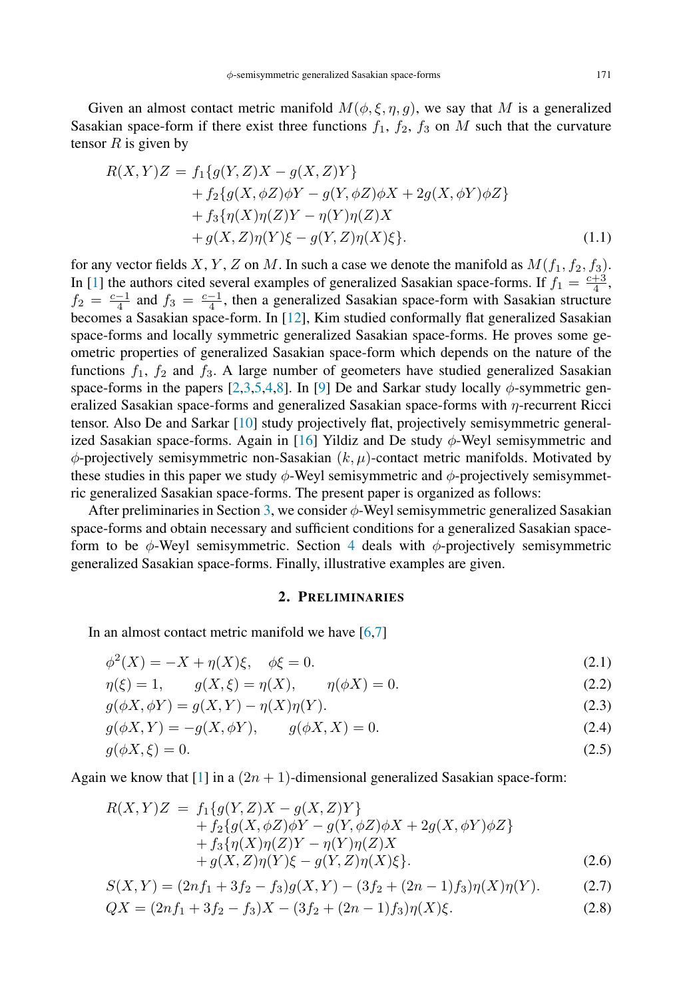Given an almost contact metric manifold  $M(\phi, \xi, \eta, q)$ , we say that M is a generalized Sasakian space-form if there exist three functions  $f_1$ ,  $f_2$ ,  $f_3$  on M such that the curvature tensor  $R$  is given by

$$
R(X,Y)Z = f_1\{g(Y,Z)X - g(X,Z)Y\} + f_2\{g(X,\phi Z)\phi Y - g(Y,\phi Z)\phi X + 2g(X,\phi Y)\phi Z\} + f_3\{\eta(X)\eta(Z)Y - \eta(Y)\eta(Z)X + g(X,Z)\eta(Y)\xi - g(Y,Z)\eta(X)\xi\}.
$$
(1.1)

for any vector fields X, Y, Z on M. In such a case we denote the manifold as  $M(f_1, f_2, f_3)$ . In [\[1\]](#page-7-0) the authors cited several examples of generalized Sasakian space-forms. If  $f_1 = \frac{c+3}{4}$ ,  $f_2 = \frac{c-1}{4}$  and  $f_3 = \frac{c-1}{4}$ , then a generalized Sasakian space-form with Sasakian structure becomes a Sasakian space-form. In [\[12\]](#page-8-0), Kim studied conformally flat generalized Sasakian space-forms and locally symmetric generalized Sasakian space-forms. He proves some geometric properties of generalized Sasakian space-form which depends on the nature of the functions  $f_1$ ,  $f_2$  and  $f_3$ . A large number of geometers have studied generalized Sasakian space-forms in the papers [\[2](#page-7-1)[,3](#page-8-1)[,5](#page-8-2)[,4](#page-8-3)[,8\]](#page-8-4). In [\[9\]](#page-8-5) De and Sarkar study locally  $\phi$ -symmetric generalized Sasakian space-forms and generalized Sasakian space-forms with  $\eta$ -recurrent Ricci tensor. Also De and Sarkar [\[10\]](#page-8-6) study projectively flat, projectively semisymmetric generalized Sasakian space-forms. Again in  $[16]$  Yildiz and De study  $\phi$ -Weyl semisymmetric and  $\phi$ -projectively semisymmetric non-Sasakian  $(k, \mu)$ -contact metric manifolds. Motivated by these studies in this paper we study  $\phi$ -Weyl semisymmetric and  $\phi$ -projectively semisymmetric generalized Sasakian space-forms. The present paper is organized as follows:

After preliminaries in Section [3,](#page-3-0) we consider  $\phi$ -Weyl semisymmetric generalized Sasakian space-forms and obtain necessary and sufficient conditions for a generalized Sasakian spaceform to be  $\phi$ -Weyl semisymmetric. Section [4](#page-5-0) deals with  $\phi$ -projectively semisymmetric generalized Sasakian space-forms. Finally, illustrative examples are given.

#### <span id="page-1-3"></span><span id="page-1-2"></span><span id="page-1-1"></span><span id="page-1-0"></span>2. PRELIMINARIES

In an almost contact metric manifold we have  $[6,7]$  $[6,7]$ 

$$
\phi^{2}(X) = -X + \eta(X)\xi, \quad \phi\xi = 0.
$$
\n(2.1)

$$
\eta(\xi) = 1, \qquad g(X, \xi) = \eta(X), \qquad \eta(\phi X) = 0.
$$
\n(2.2)

$$
g(\phi X, \phi Y) = g(X, Y) - \eta(X)\eta(Y). \tag{2.3}
$$

$$
g(\phi X, Y) = -g(X, \phi Y), \qquad g(\phi X, X) = 0.
$$
 (2.4)

$$
g(\phi X, \xi) = 0. \tag{2.5}
$$

Again we know that [\[1\]](#page-7-0) in a  $(2n + 1)$ -dimensional generalized Sasakian space-form:

$$
R(X,Y)Z = f_1\{g(Y,Z)X - g(X,Z)Y\} + f_2\{g(X,\phi Z)\phi Y - g(Y,\phi Z)\phi X + 2g(X,\phi Y)\phi Z\} + f_3\{\eta(X)\eta(Z)Y - \eta(Y)\eta(Z)X + g(X,Z)\eta(Y)\xi - g(Y,Z)\eta(X)\xi\}.
$$
 (2.6)

$$
S(X,Y) = (2nf_1 + 3f_2 - f_3)g(X,Y) - (3f_2 + (2n - 1)f_3)\eta(X)\eta(Y). \tag{2.7}
$$

$$
QX = (2nf_1 + 3f_2 - f_3)X - (3f_2 + (2n - 1)f_3)\eta(X)\xi.
$$
 (2.8)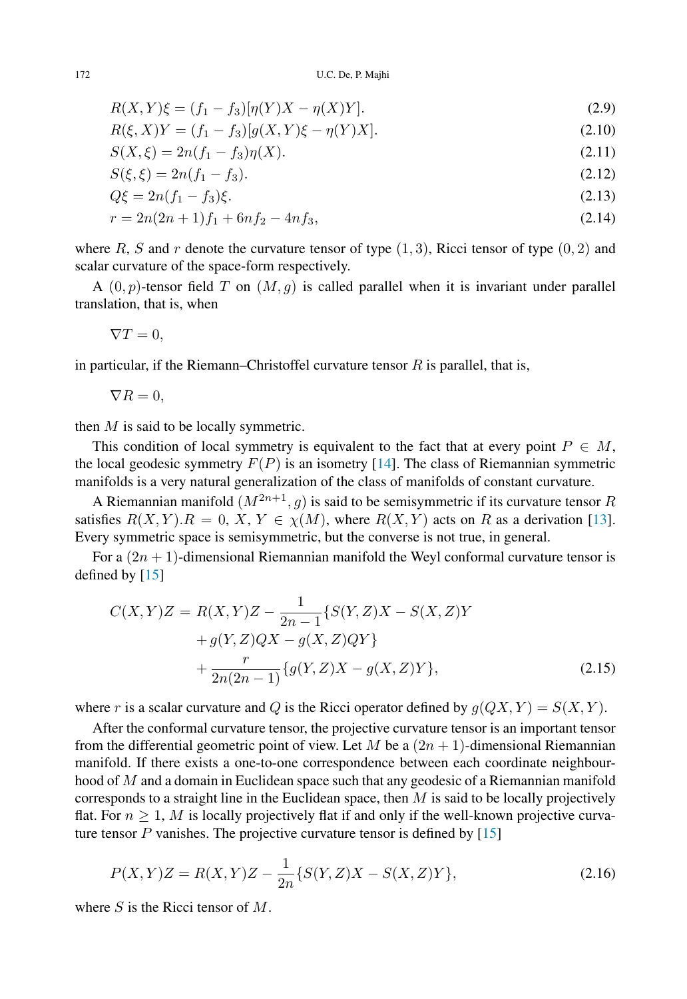$$
R(X,Y)\xi = (f_1 - f_3)[\eta(Y)X - \eta(X)Y].
$$
\n(2.9)

$$
R(\xi, X)Y = (f_1 - f_3)[g(X, Y)\xi - \eta(Y)X].
$$
\n(2.10)

$$
S(X,\xi) = 2n(f_1 - f_3)\eta(X). \tag{2.11}
$$

$$
S(\xi, \xi) = 2n(f_1 - f_3). \tag{2.12}
$$

$$
Q\xi = 2n(f_1 - f_3)\xi. \tag{2.13}
$$

$$
r = 2n(2n+1)f_1 + 6nf_2 - 4nf_3,
$$
\n(2.14)

where R, S and r denote the curvature tensor of type  $(1, 3)$ , Ricci tensor of type  $(0, 2)$  and scalar curvature of the space-form respectively.

A  $(0, p)$ -tensor field T on  $(M, g)$  is called parallel when it is invariant under parallel translation, that is, when

$$
\nabla T=0,
$$

in particular, if the Riemann–Christoffel curvature tensor  $R$  is parallel, that is,

 $\nabla R = 0.$ 

then  $M$  is said to be locally symmetric.

This condition of local symmetry is equivalent to the fact that at every point  $P \in M$ , the local geodesic symmetry  $F(P)$  is an isometry [\[14\]](#page-8-10). The class of Riemannian symmetric manifolds is a very natural generalization of the class of manifolds of constant curvature.

A Riemannian manifold  $(M^{2n+1}, g)$  is said to be semisymmetric if its curvature tensor R satisfies  $R(X, Y) \cdot R = 0$ ,  $X, Y \in \chi(M)$ , where  $R(X, Y)$  acts on R as a derivation [\[13\]](#page-8-11). Every symmetric space is semisymmetric, but the converse is not true, in general.

For a  $(2n + 1)$ -dimensional Riemannian manifold the Weyl conformal curvature tensor is defined by [\[15\]](#page-8-12)

<span id="page-2-0"></span>
$$
C(X,Y)Z = R(X,Y)Z - \frac{1}{2n-1} \{ S(Y,Z)X - S(X,Z)Y + g(Y,Z)QX - g(X,Z)QY \} + \frac{r}{2n(2n-1)} \{ g(Y,Z)X - g(X,Z)Y \},
$$
(2.15)

where r is a scalar curvature and Q is the Ricci operator defined by  $g(QX, Y) = S(X, Y)$ .

After the conformal curvature tensor, the projective curvature tensor is an important tensor from the differential geometric point of view. Let M be a  $(2n + 1)$ -dimensional Riemannian manifold. If there exists a one-to-one correspondence between each coordinate neighbourhood of M and a domain in Euclidean space such that any geodesic of a Riemannian manifold corresponds to a straight line in the Euclidean space, then  $M$  is said to be locally projectively flat. For  $n \geq 1$ , M is locally projectively flat if and only if the well-known projective curvature tensor  $P$  vanishes. The projective curvature tensor is defined by  $[15]$ 

$$
P(X,Y)Z = R(X,Y)Z - \frac{1}{2n} \{ S(Y,Z)X - S(X,Z)Y \},
$$
\n(2.16)

where  $S$  is the Ricci tensor of  $M$ .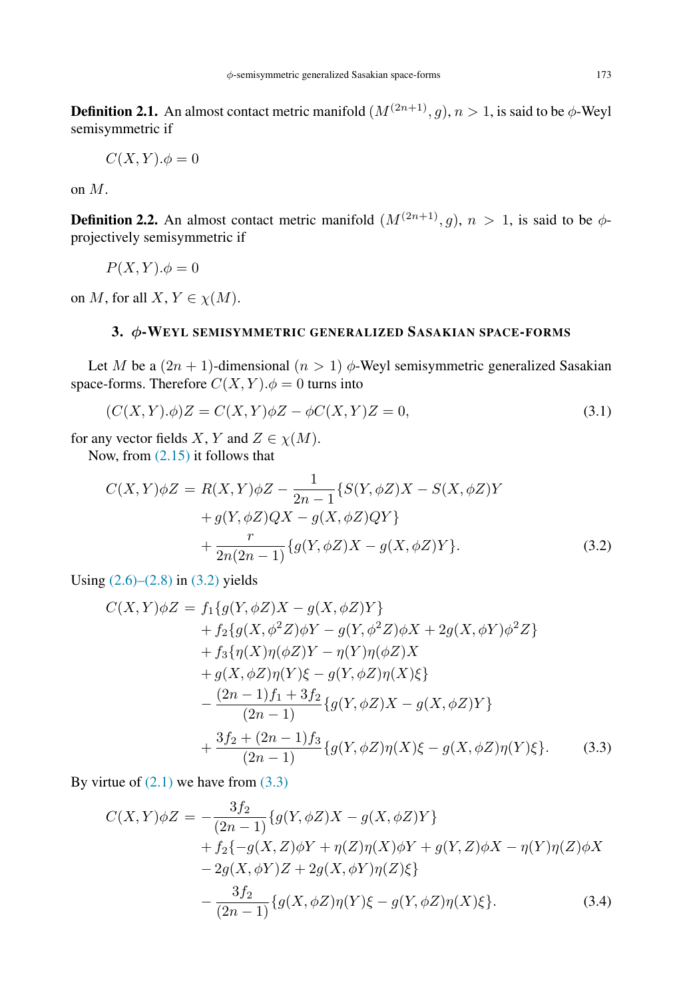**Definition 2.1.** An almost contact metric manifold  $(M^{(2n+1)}, q)$ ,  $n > 1$ , is said to be  $\phi$ -Weyl semisymmetric if

$$
C(X,Y).\phi=0
$$

on M.

**Definition 2.2.** An almost contact metric manifold  $(M^{(2n+1)}, g)$ ,  $n > 1$ , is said to be  $\phi$ projectively semisymmetric if

 $P(X, Y) \cdot \phi = 0$ 

on M, for all  $X, Y \in \chi(M)$ .

# <span id="page-3-0"></span>3. φ-WEYL SEMISYMMETRIC GENERALIZED SASAKIAN SPACE-FORMS

Let M be a  $(2n + 1)$ -dimensional  $(n > 1)$   $\phi$ -Weyl semisymmetric generalized Sasakian space-forms. Therefore  $C(X, Y)$ . $\phi = 0$  turns into

<span id="page-3-5"></span><span id="page-3-4"></span>
$$
(C(X,Y).\phi)Z = C(X,Y)\phi Z - \phi C(X,Y)Z = 0,
$$
\n
$$
(3.1)
$$

for any vector fields X, Y and  $Z \in \chi(M)$ .

Now, from [\(2.15\)](#page-2-0) it follows that

<span id="page-3-1"></span>
$$
C(X,Y)\phi Z = R(X,Y)\phi Z - \frac{1}{2n-1} \{ S(Y,\phi Z)X - S(X,\phi Z)Y + g(Y,\phi Z)QX - g(X,\phi Z)QY \} + \frac{r}{2n(2n-1)} \{ g(Y,\phi Z)X - g(X,\phi Z)Y \}.
$$
(3.2)

Using  $(2.6)$ – $(2.8)$  in  $(3.2)$  yields

$$
C(X,Y)\phi Z = f_1\{g(Y,\phi Z)X - g(X,\phi Z)Y\} + f_2\{g(X,\phi^2 Z)\phi Y - g(Y,\phi^2 Z)\phi X + 2g(X,\phi Y)\phi^2 Z\} + f_3\{\eta(X)\eta(\phi Z)Y - \eta(Y)\eta(\phi Z)X + g(X,\phi Z)\eta(Y)\xi - g(Y,\phi Z)\eta(X)\xi\} - \frac{(2n-1)f_1 + 3f_2}{(2n-1)}\{g(Y,\phi Z)X - g(X,\phi Z)Y\} + \frac{3f_2 + (2n-1)f_3}{(2n-1)}\{g(Y,\phi Z)\eta(X)\xi - g(X,\phi Z)\eta(Y)\xi\}.
$$
 (3.3)

By virtue of  $(2.1)$  we have from  $(3.3)$ 

<span id="page-3-3"></span><span id="page-3-2"></span>
$$
C(X,Y)\phi Z = -\frac{3f_2}{(2n-1)} \{g(Y,\phi Z)X - g(X,\phi Z)Y\} + f_2\{-g(X,Z)\phi Y + \eta(Z)\eta(X)\phi Y + g(Y,Z)\phi X - \eta(Y)\eta(Z)\phi X - 2g(X,\phi Y)Z + 2g(X,\phi Y)\eta(Z)\xi\} - \frac{3f_2}{(2n-1)} \{g(X,\phi Z)\eta(Y)\xi - g(Y,\phi Z)\eta(X)\xi\}.
$$
(3.4)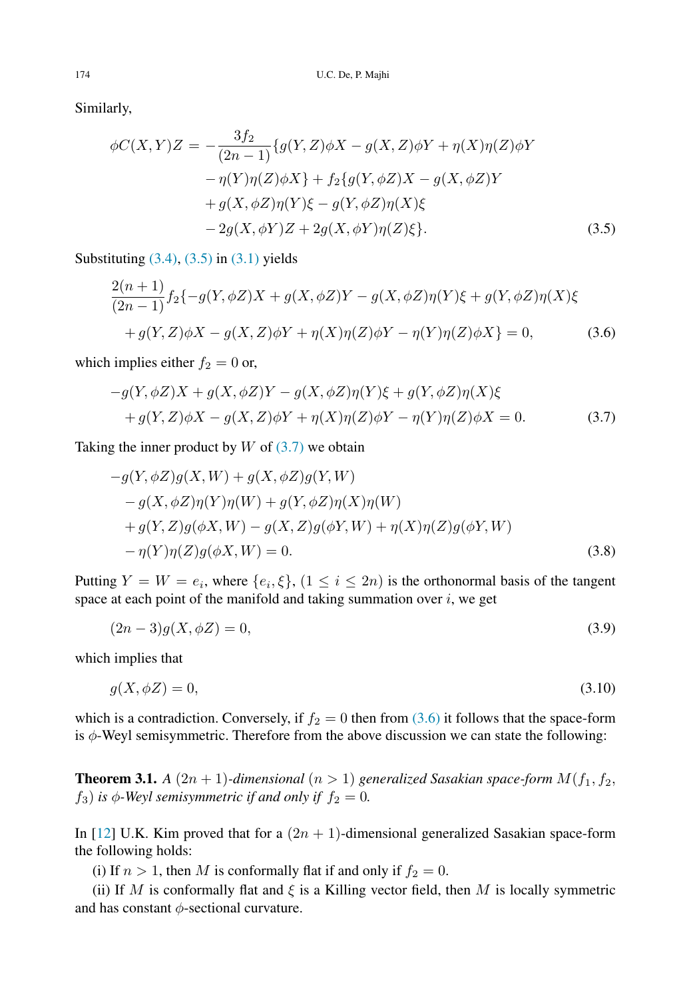Similarly,

$$
\phi C(X,Y)Z = -\frac{3f_2}{(2n-1)} \{g(Y,Z)\phi X - g(X,Z)\phi Y + \eta(X)\eta(Z)\phi Y \n- \eta(Y)\eta(Z)\phi X\} + f_2 \{g(Y,\phi Z)X - g(X,\phi Z)Y \n+ g(X,\phi Z)\eta(Y)\xi - g(Y,\phi Z)\eta(X)\xi \n- 2g(X,\phi Y)Z + 2g(X,\phi Y)\eta(Z)\xi\}.
$$
\n(3.5)

Substituting  $(3.4)$ ,  $(3.5)$  in  $(3.1)$  yields

<span id="page-4-1"></span><span id="page-4-0"></span>
$$
\frac{2(n+1)}{(2n-1)} f_2\{-g(Y,\phi Z)X + g(X,\phi Z)Y - g(X,\phi Z)\eta(Y)\xi + g(Y,\phi Z)\eta(X)\xi
$$
  
+g(Y, Z)\phi X - g(X, Z)\phi Y + \eta(X)\eta(Z)\phi Y - \eta(Y)\eta(Z)\phi X\} = 0, (3.6)

which implies either  $f_2 = 0$  or,

$$
-g(Y, \phi Z)X + g(X, \phi Z)Y - g(X, \phi Z)\eta(Y)\xi + g(Y, \phi Z)\eta(X)\xi
$$
  
+ 
$$
g(Y, Z)\phi X - g(X, Z)\phi Y + \eta(X)\eta(Z)\phi Y - \eta(Y)\eta(Z)\phi X = 0.
$$
 (3.7)

Taking the inner product by  $W$  of  $(3.7)$  we obtain

$$
-g(Y, \phi Z)g(X, W) + g(X, \phi Z)g(Y, W)
$$
  
\n
$$
-g(X, \phi Z)\eta(Y)\eta(W) + g(Y, \phi Z)\eta(X)\eta(W)
$$
  
\n
$$
+ g(Y, Z)g(\phi X, W) - g(X, Z)g(\phi Y, W) + \eta(X)\eta(Z)g(\phi Y, W)
$$
  
\n
$$
- \eta(Y)\eta(Z)g(\phi X, W) = 0.
$$
\n(3.8)

Putting  $Y = W = e_i$ , where  $\{e_i, \xi\}$ ,  $(1 \le i \le 2n)$  is the orthonormal basis of the tangent space at each point of the manifold and taking summation over  $i$ , we get

$$
(2n-3)g(X, \phi Z) = 0,\t(3.9)
$$

which implies that

 $q(X, \phi Z) = 0,$  (3.10)

which is a contradiction. Conversely, if  $f_2 = 0$  then from [\(3.6\)](#page-4-1) it follows that the space-form is  $\phi$ -Weyl semisymmetric. Therefore from the above discussion we can state the following:

<span id="page-4-2"></span>**Theorem 3.1.** *A*  $(2n + 1)$ *-dimensional*  $(n > 1)$  *generalized Sasakian space-form*  $M(f_1, f_2, f_3)$  $f_3$ ) *is*  $\phi$ -Weyl semisymmetric if and only if  $f_2 = 0$ .

In [\[12\]](#page-8-0) U.K. Kim proved that for a  $(2n + 1)$ -dimensional generalized Sasakian space-form the following holds:

(i) If  $n > 1$ , then M is conformally flat if and only if  $f_2 = 0$ .

(ii) If M is conformally flat and  $\xi$  is a Killing vector field, then M is locally symmetric and has constant  $\phi$ -sectional curvature.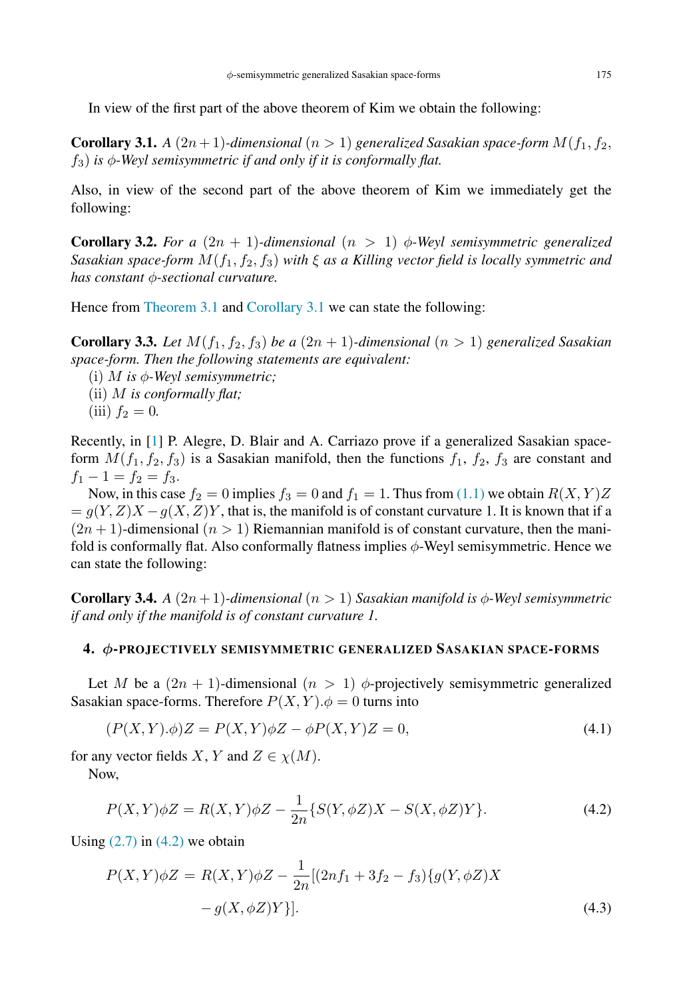<span id="page-5-1"></span>In view of the first part of the above theorem of Kim we obtain the following:

**Corollary 3.1.** *A*  $(2n + 1)$ *-dimensional*  $(n > 1)$  *generalized Sasakian space-form*  $M(f_1, f_2, f_3)$  $f_3$ ) *is*  $\phi$ -Weyl semisymmetric if and only if it is conformally flat.

Also, in view of the second part of the above theorem of Kim we immediately get the following:

**Corollary 3.2.** *For a*  $(2n + 1)$ *-dimensional*  $(n > 1)$  φ*-Weyl semisymmetric generalized Sasakian space-form*  $M(f_1, f_2, f_3)$  *with*  $\xi$  *as a Killing vector field is locally symmetric and has constant* φ*-sectional curvature.*

Hence from [Theorem 3.1](#page-4-2) and [Corollary 3.1](#page-5-1) we can state the following:

**Corollary 3.3.** Let  $M(f_1, f_2, f_3)$  be a  $(2n + 1)$ -dimensional  $(n > 1)$  generalized Sasakian *space-form. Then the following statements are equivalent:*

<span id="page-5-5"></span>(i) M *is* φ*-Weyl semisymmetric;* (ii) M *is conformally flat;*

$$
(iii) f_2 = 0.
$$

Recently, in [\[1\]](#page-7-0) P. Alegre, D. Blair and A. Carriazo prove if a generalized Sasakian spaceform  $M(f_1, f_2, f_3)$  is a Sasakian manifold, then the functions  $f_1, f_2, f_3$  are constant and  $f_1 - 1 = f_2 = f_3.$ 

Now, in this case  $f_2 = 0$  implies  $f_3 = 0$  and  $f_1 = 1$ . Thus from [\(1.1\)](#page-1-2) we obtain  $R(X, Y)Z$  $= g(Y, Z)X - g(X, Z)Y$ , that is, the manifold is of constant curvature 1. It is known that if a  $(2n + 1)$ -dimensional  $(n > 1)$  Riemannian manifold is of constant curvature, then the manifold is conformally flat. Also conformally flatness implies  $\phi$ -Weyl semisymmetric. Hence we can state the following:

**Corollary 3.4.** *A*  $(2n+1)$ *-dimensional*  $(n > 1)$  *Sasakian manifold is*  $\phi$ *-Weyl semisymmetric if and only if the manifold is of constant curvature 1.*

### <span id="page-5-0"></span>4. φ-PROJECTIVELY SEMISYMMETRIC GENERALIZED SASAKIAN SPACE-FORMS

Let M be a  $(2n + 1)$ -dimensional  $(n > 1)$   $\phi$ -projectively semisymmetric generalized Sasakian space-forms. Therefore  $P(X, Y)$ . $\phi = 0$  turns into

<span id="page-5-4"></span>
$$
(P(X,Y).\phi)Z = P(X,Y)\phi Z - \phi P(X,Y)Z = 0,
$$
\n
$$
(4.1)
$$

for any vector fields X, Y and  $Z \in \chi(M)$ .

Now,

<span id="page-5-2"></span>
$$
P(X,Y)\phi Z = R(X,Y)\phi Z - \frac{1}{2n} \{S(Y,\phi Z)X - S(X,\phi Z)Y\}.
$$
\n(4.2)

Using  $(2.7)$  in  $(4.2)$  we obtain

<span id="page-5-3"></span>
$$
P(X,Y)\phi Z = R(X,Y)\phi Z - \frac{1}{2n}[(2nf_1 + 3f_2 - f_3)\{g(Y,\phi Z)X - g(X,\phi Z)Y\}].
$$
\n(4.3)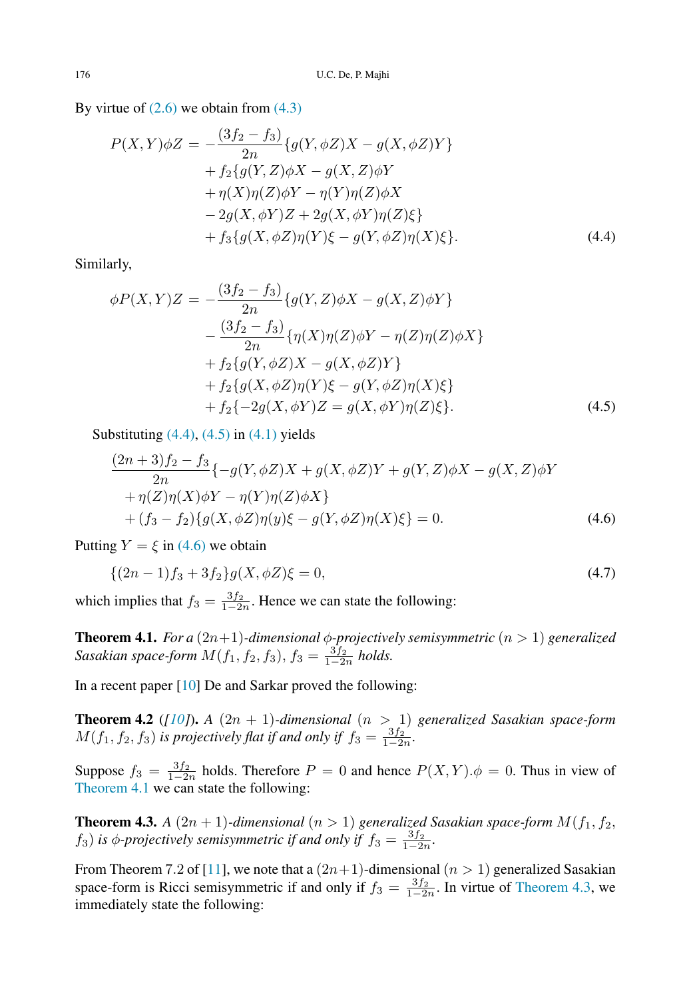By virtue of  $(2.6)$  we obtain from  $(4.3)$ 

$$
P(X,Y)\phi Z = -\frac{(3f_2 - f_3)}{2n} \{g(Y,\phi Z)X - g(X,\phi Z)Y\} + f_2 \{g(Y,Z)\phi X - g(X,Z)\phi Y + \eta(X)\eta(Z)\phi Y - \eta(Y)\eta(Z)\phi X - 2g(X,\phi Y)Z + 2g(X,\phi Y)\eta(Z)\xi \} + f_3 \{g(X,\phi Z)\eta(Y)\xi - g(Y,\phi Z)\eta(X)\xi\}.
$$
(4.4)

Similarly,

<span id="page-6-0"></span>
$$
\phi P(X,Y)Z = -\frac{(3f_2 - f_3)}{2n} \{g(Y,Z)\phi X - g(X,Z)\phi Y\} \n- \frac{(3f_2 - f_3)}{2n} \{\eta(X)\eta(Z)\phi Y - \eta(Z)\eta(Z)\phi X\} \n+ f_2 \{g(Y,\phi Z)X - g(X,\phi Z)Y\} \n+ f_2 \{g(X,\phi Z)\eta(Y)\xi - g(Y,\phi Z)\eta(X)\xi\} \n+ f_2 \{-2g(X,\phi Y)Z = g(X,\phi Y)\eta(Z)\xi\}.
$$
\n(4.5)

Substituting  $(4.4)$ ,  $(4.5)$  in  $(4.1)$  yields

<span id="page-6-2"></span><span id="page-6-1"></span>
$$
\frac{(2n+3)f_2 - f_3}{2n} \{-g(Y, \phi Z)X + g(X, \phi Z)Y + g(Y, Z)\phi X - g(X, Z)\phi Y + \eta(Z)\eta(X)\phi Y - \eta(Y)\eta(Z)\phi X \}+(f_3 - f_2)\{g(X, \phi Z)\eta(y)\xi - g(Y, \phi Z)\eta(X)\xi\} = 0.
$$
\n(4.6)

Putting  $Y = \xi$  in [\(4.6\)](#page-6-2) we obtain

<span id="page-6-3"></span>
$$
\{(2n-1)f_3 + 3f_2\}g(X, \phi Z)\xi = 0,\tag{4.7}
$$

which implies that  $f_3 = \frac{3f_2}{1-2n}$ . Hence we can state the following:

**Theorem 4.1.** *For a*  $(2n+1)$ *-dimensional*  $\phi$ *-projectively semisymmetric*  $(n > 1)$  *generalized Sasakian space-form*  $M(f_1, f_2, f_3)$ ,  $f_3 = \frac{3f_2}{1-2n}$  *holds.* 

In a recent paper [\[10\]](#page-8-6) De and Sarkar proved the following:

<span id="page-6-5"></span>**Theorem 4.2** ([\[10\]](#page-8-6)). A  $(2n + 1)$ -dimensional  $(n > 1)$  generalized Sasakian space-form  $M(f_1, f_2, f_3)$  *is projectively flat if and only if*  $f_3 = \frac{3f_2}{1-2n}$ *.* 

Suppose  $f_3 = \frac{3f_2}{1-2n}$  holds. Therefore  $P = 0$  and hence  $P(X, Y) \cdot \phi = 0$ . Thus in view of [Theorem 4.1](#page-6-3) we can state the following:

<span id="page-6-4"></span>**Theorem 4.3.** *A*  $(2n + 1)$ *-dimensional*  $(n > 1)$  *generalized Sasakian space-form*  $M(f_1, f_2, f_3)$  $f_3$ ) *is*  $\phi$ -projectively semisymmetric if and only if  $f_3 = \frac{3f_2}{1-2n}$ .

From Theorem 7.2 of [\[11\]](#page-8-13), we note that a  $(2n+1)$ -dimensional  $(n > 1)$  generalized Sasakian space-form is Ricci semisymmetric if and only if  $f_3 = \frac{3f_2}{1-2n}$ . In virtue of [Theorem 4.3,](#page-6-4) we immediately state the following: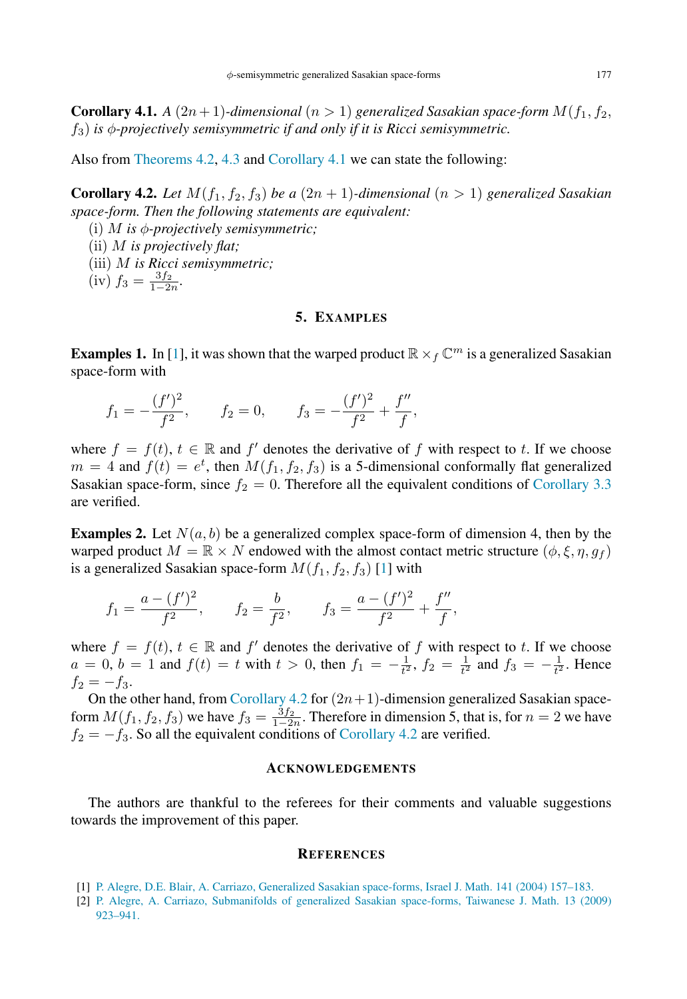<span id="page-7-2"></span>**Corollary 4.1.** *A* (2*n* + 1)*-dimensional* (*n* > 1) *generalized Sasakian space-form*  $M(f_1, f_2, f_3)$  $f_3$ ) *is*  $\phi$ -projectively semisymmetric if and only if it is Ricci semisymmetric.

Also from [Theorems 4.2,](#page-6-5) [4.3](#page-6-4) and [Corollary 4.1](#page-7-2) we can state the following:

**Corollary 4.2.** Let  $M(f_1, f_2, f_3)$  be a  $(2n + 1)$ -dimensional  $(n > 1)$  generalized Sasakian *space-form. Then the following statements are equivalent:*

- <span id="page-7-3"></span>(i) M *is* φ*-projectively semisymmetric;*
- (ii) M *is projectively flat;*
- (iii) M *is Ricci semisymmetric;*

 $(iv) f_3 = \frac{3f_2}{1-2n}.$ 

## 5. EXAMPLES

**Examples 1.** In [\[1\]](#page-7-0), it was shown that the warped product  $\mathbb{R} \times_f \mathbb{C}^m$  is a generalized Sasakian space-form with

$$
f_1 = -\frac{(f')^2}{f^2}
$$
,  $f_2 = 0$ ,  $f_3 = -\frac{(f')^2}{f^2} + \frac{f''}{f}$ ,

where  $f = f(t)$ ,  $t \in \mathbb{R}$  and  $f'$  denotes the derivative of f with respect to t. If we choose  $m = 4$  and  $f(t) = e^t$ , then  $M(f_1, f_2, f_3)$  is a 5-dimensional conformally flat generalized Sasakian space-form, since  $f_2 = 0$ . Therefore all the equivalent conditions of [Corollary 3.3](#page-5-5) are verified.

**Examples 2.** Let  $N(a, b)$  be a generalized complex space-form of dimension 4, then by the warped product  $M = \mathbb{R} \times N$  endowed with the almost contact metric structure  $(\phi, \xi, \eta, g_f)$ is a generalized Sasakian space-form  $M(f_1, f_2, f_3)$  [\[1\]](#page-7-0) with

$$
f_1 = \frac{a - (f')^2}{f^2}
$$
,  $f_2 = \frac{b}{f^2}$ ,  $f_3 = \frac{a - (f')^2}{f^2} + \frac{f''}{f}$ ,

where  $f = f(t)$ ,  $t \in \mathbb{R}$  and  $f'$  denotes the derivative of f with respect to t. If we choose  $a = 0, b = 1$  and  $f(t) = t$  with  $t > 0$ , then  $f_1 = -\frac{1}{t^2}$ ,  $f_2 = \frac{1}{t^2}$  and  $f_3 = -\frac{1}{t^2}$ . Hence  $f_2 = -f_3.$ 

On the other hand, from [Corollary 4.2](#page-7-3) for  $(2n+1)$ -dimension generalized Sasakian spaceform  $M(f_1, f_2, f_3)$  we have  $f_3 = \frac{3f_2}{1-2n}$ . Therefore in dimension 5, that is, for  $n = 2$  we have  $f_2 = -f_3$ . So all the equivalent conditions of [Corollary 4.2](#page-7-3) are verified.

#### ACKNOWLEDGEMENTS

The authors are thankful to the referees for their comments and valuable suggestions towards the improvement of this paper.

#### **REFERENCES**

- <span id="page-7-0"></span>[1] P. [Alegre, D.E. Blair, A. Carriazo, Generalized Sasakian space-forms, Israel J. Math. 141 \(2004\) 157–183.](http://refhub.elsevier.com/S1319-5166(15)00004-3/sbref1)
- <span id="page-7-1"></span>[2] P. [Alegre, A. Carriazo, Submanifolds of generalized Sasakian space-forms, Taiwanese J. Math. 13 \(2009\)](http://refhub.elsevier.com/S1319-5166(15)00004-3/sbref2) 923–941.